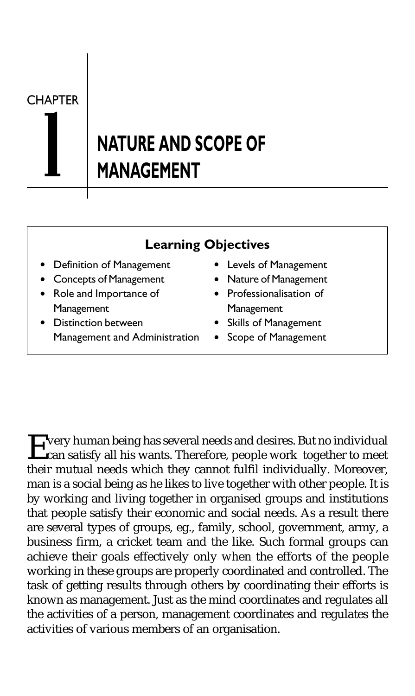**CHAPTER** 

# **NATURE AND SCOPE OF** MANAGEMENT

### Learning Objectives

- Definition of Management Levels of Management
- Concepts of Management Nature of Management
- Role and Importance of Professionalisation of Management Management
- Distinction between Skills of Management Management and Administration . Scope of Management
- 
- 
- -
	-

Every human being has several needs and desires. But no individual<br>can satisfy all his wants. Therefore, people work together to meet their mutual needs which they cannot fulfil individually. Moreover, man is a social being as he likes to live together with other people. It is by working and living together in organised groups and institutions that people satisfy their economic and social needs. As a result there are several types of groups, eg., family, school, government, army, a business firm, a cricket team and the like. Such formal groups can achieve their goals effectively only when the efforts of the people working in these groups are properly coordinated and controlled. The task of getting results through others by coordinating their efforts is known as management. Just as the mind coordinates and regulates all the activities of a person, management coordinates and regulates the activities of various members of an organisation.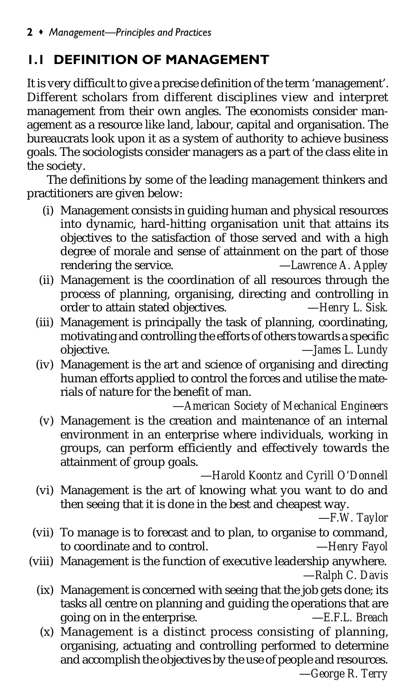### 1.1 DEFINITION OF MANAGEMENT

It is very difficult to give a precise definition of the term 'management'. Different scholars from different disciplines view and interpret management from their own angles. The economists consider management as a resource like land, labour, capital and organisation. The bureaucrats look upon it as a system of authority to achieve business goals. The sociologists consider managers as a part of the class elite in the society.

The definitions by some of the leading management thinkers and practitioners are given below:

- (i) Management consists in guiding human and physical resources into dynamic, hard-hitting organisation unit that attains its objectives to the satisfaction of those served and with a high degree of morale and sense of attainment on the part of those rendering the service.
- (ii) Management is the coordination of all resources through the process of planning, organising, directing and controlling in order to attain stated objectives. -Henry L. Sisk. order to attain stated objectives.
- (iii) Management is principally the task of planning, coordinating, motivating and controlling the efforts of others towards a specific<br>objective.  $\qquad - James\ L.$  Lundy  $-$ *James L. Lundy*
- (iv) Management is the art and science of organising and directing human efforts applied to control the forces and utilise the materials of nature for the benefit of man.

—*American Society of Mechanical Engineers*

(v) Management is the creation and maintenance of an internal environment in an enterprise where individuals, working in groups, can perform efficiently and effectively towards the attainment of group goals.

#### —*Harold Koontz and Cyrill O'Donnell*

(vi) Management is the art of knowing what you want to do and then seeing that it is done in the best and cheapest way.

—*F.W. Taylor*

- (vii) To manage is to forecast and to plan, to organise to command, to coordinate and to control. —*Henry Fayol*
- (viii) Management is the function of executive leadership anywhere. —*Ralph C. Davis*
	- (ix) Management is concerned with seeing that the job gets done; its tasks all centre on planning and guiding the operations that are going on in the enterprise. —*E.F.L. Breach*
		- (x) Management is a distinct process consisting of planning, organising, actuating and controlling performed to determine and accomplish the objectives by the use of people and resources. —*George R. Terry*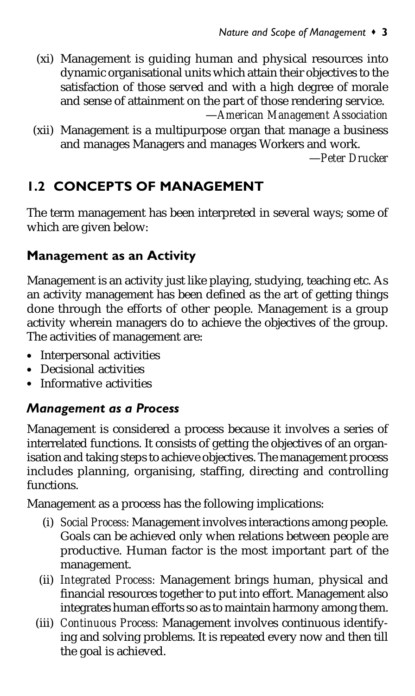- (xi) Management is guiding human and physical resources into dynamic organisational units which attain their objectives to the satisfaction of those served and with a high degree of morale and sense of attainment on the part of those rendering service. —*American Management Association*
- (xii) Management is a multipurpose organ that manage a business and manages Managers and manages Workers and work.

—*Peter Drucker*

### 1.2 CONCEPTS OF MANAGEMENT

The term management has been interpreted in several ways; some of which are given below:

### Management as an Activity

Management is an activity just like playing, studying, teaching etc. As an activity management has been defined as the art of getting things done through the efforts of other people. Management is a group activity wherein managers do to achieve the objectives of the group. The activities of management are:

- Interpersonal activities
- Decisional activities
- Informative activities

### Management as a Process

Management is considered a process because it involves a series of interrelated functions. It consists of getting the objectives of an organisation and taking steps to achieve objectives. The management process includes planning, organising, staffing, directing and controlling functions.

Management as a process has the following implications:

- (i) *Social Process:* Management involves interactions among people. Goals can be achieved only when relations between people are productive. Human factor is the most important part of the management.
- (ii) *Integrated Process:* Management brings human, physical and financial resources together to put into effort. Management also integrates human efforts so as to maintain harmony among them.
- (iii) *Continuous Process:* Management involves continuous identifying and solving problems. It is repeated every now and then till the goal is achieved.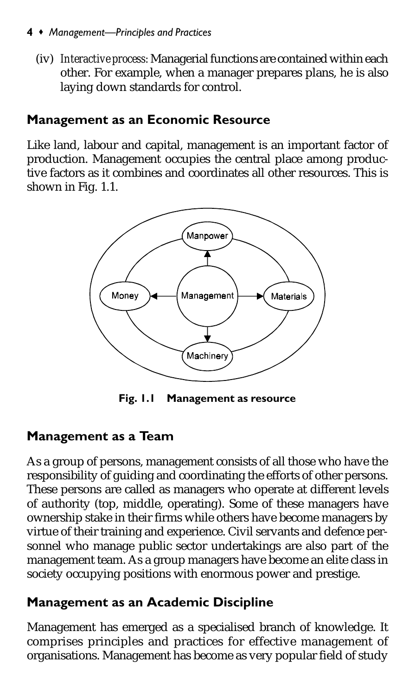#### 4 • Management-Principles and Practices

(iv) *Interactive process:* Managerial functions are contained within each other. For example, when a manager prepares plans, he is also laying down standards for control.

### Management as an Economic Resource

Like land, labour and capital, management is an important factor of production. Management occupies the central place among productive factors as it combines and coordinates all other resources. This is shown in Fig. 1.1.



Fig. 1.1 Management as resource

### Management as a Team

As a group of persons, management consists of all those who have the responsibility of guiding and coordinating the efforts of other persons. These persons are called as managers who operate at different levels of authority (top, middle, operating). Some of these managers have ownership stake in their firms while others have become managers by virtue of their training and experience. Civil servants and defence personnel who manage public sector undertakings are also part of the management team. As a group managers have become an elite class in society occupying positions with enormous power and prestige.

### Management as an Academic Discipline

Management has emerged as a specialised branch of knowledge. It comprises principles and practices for effective management of organisations. Management has become as very popular field of study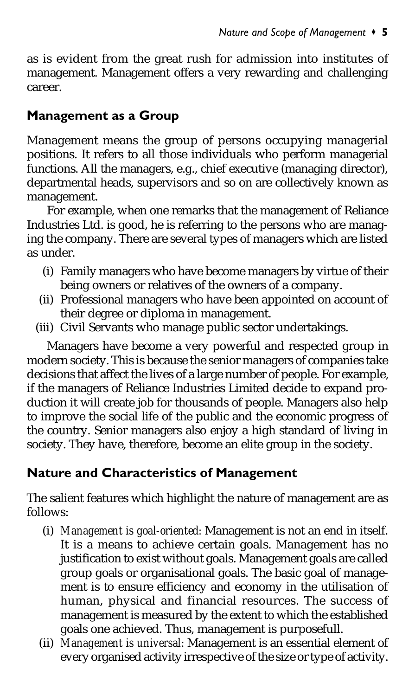as is evident from the great rush for admission into institutes of management. Management offers a very rewarding and challenging career.

### Management as a Group

Management means the group of persons occupying managerial positions. It refers to all those individuals who perform managerial functions. All the managers, e.g., chief executive (managing director), departmental heads, supervisors and so on are collectively known as management.

For example, when one remarks that the management of Reliance Industries Ltd. is good, he is referring to the persons who are managing the company. There are several types of managers which are listed as under.

- (i) Family managers who have become managers by virtue of their being owners or relatives of the owners of a company.
- (ii) Professional managers who have been appointed on account of their degree or diploma in management.
- (iii) Civil Servants who manage public sector undertakings.

Managers have become a very powerful and respected group in modern society. This is because the senior managers of companies take decisions that affect the lives of a large number of people. For example, if the managers of Reliance Industries Limited decide to expand production it will create job for thousands of people. Managers also help to improve the social life of the public and the economic progress of the country. Senior managers also enjoy a high standard of living in society. They have, therefore, become an elite group in the society.

### Nature and Characteristics of Management

The salient features which highlight the nature of management are as follows:

- (i) *Management is goal-oriented:* Management is not an end in itself. It is a means to achieve certain goals. Management has no justification to exist without goals. Management goals are called group goals or organisational goals. The basic goal of management is to ensure efficiency and economy in the utilisation of human, physical and financial resources. The success of management is measured by the extent to which the established goals one achieved. Thus, management is purposefull.
- (ii) *Management is universal:* Management is an essential element of every organised activity irrespective of the size or type of activity.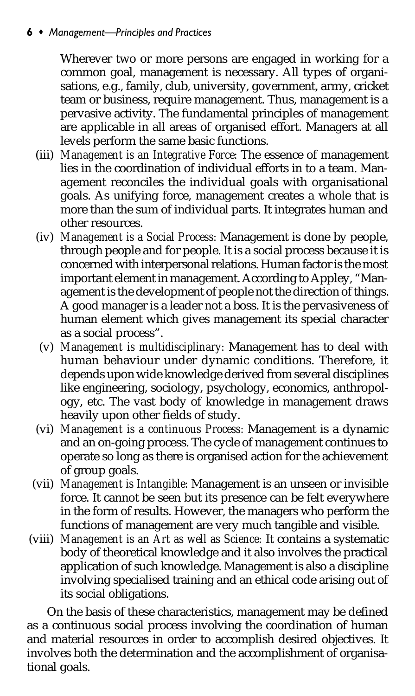#### $6 \cdot$  Management-Principles and Practices

Wherever two or more persons are engaged in working for a common goal, management is necessary. All types of organisations, e.g., family, club, university, government, army, cricket team or business, require management. Thus, management is a pervasive activity. The fundamental principles of management are applicable in all areas of organised effort. Managers at all levels perform the same basic functions.

- (iii) *Management is an Integrative Force:* The essence of management lies in the coordination of individual efforts in to a team. Management reconciles the individual goals with organisational goals. As unifying force, management creates a whole that is more than the sum of individual parts. It integrates human and other resources.
- (iv) *Management is a Social Process:* Management is done by people, through people and for people. It is a social process because it is concerned with interpersonal relations. Human factor is the most important element in management. According to Appley, "Management is the development of people not the direction of things. A good manager is a leader not a boss. It is the pervasiveness of human element which gives management its special character as a social process".
- (v) *Management is multidisciplinary:* Management has to deal with human behaviour under dynamic conditions. Therefore, it depends upon wide knowledge derived from several disciplines like engineering, sociology, psychology, economics, anthropology, etc. The vast body of knowledge in management draws heavily upon other fields of study.
- (vi) *Management is a continuous Process:* Management is a dynamic and an on-going process. The cycle of management continues to operate so long as there is organised action for the achievement of group goals.
- (vii) *Management is Intangible:* Management is an unseen or invisible force. It cannot be seen but its presence can be felt everywhere in the form of results. However, the managers who perform the functions of management are very much tangible and visible.
- (viii) *Management is an Art as well as Science:* It contains a systematic body of theoretical knowledge and it also involves the practical application of such knowledge. Management is also a discipline involving specialised training and an ethical code arising out of its social obligations.

On the basis of these characteristics, management may be defined as a continuous social process involving the coordination of human and material resources in order to accomplish desired objectives. It involves both the determination and the accomplishment of organisational goals.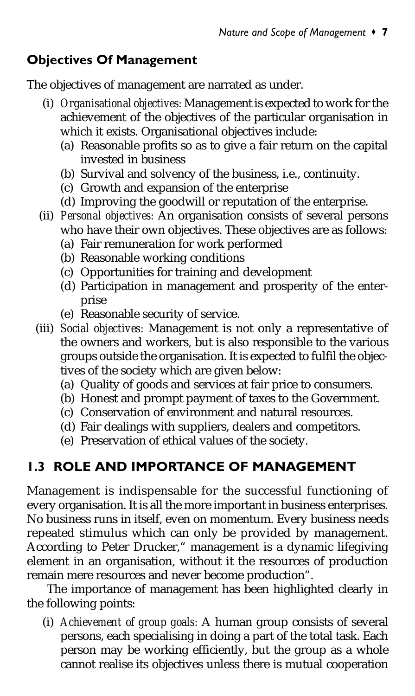### Objectives Of Management

The objectives of management are narrated as under.

- (i) *Organisational objectives:* Management is expected to work for the achievement of the objectives of the particular organisation in which it exists. Organisational objectives include:
	- (a) Reasonable profits so as to give a fair return on the capital invested in business
	- (b) Survival and solvency of the business, i.e., continuity.
	- (c) Growth and expansion of the enterprise
	- (d) Improving the goodwill or reputation of the enterprise.
- (ii) *Personal objectives:* An organisation consists of several persons who have their own objectives. These objectives are as follows:
	- (a) Fair remuneration for work performed
	- (b) Reasonable working conditions
	- (c) Opportunities for training and development
	- (d) Participation in management and prosperity of the enterprise
	- (e) Reasonable security of service.
- (iii) *Social objectives:* Management is not only a representative of the owners and workers, but is also responsible to the various groups outside the organisation. It is expected to fulfil the objectives of the society which are given below:
	- (a) Quality of goods and services at fair price to consumers.
	- (b) Honest and prompt payment of taxes to the Government.
	- (c) Conservation of environment and natural resources.
	- (d) Fair dealings with suppliers, dealers and competitors.
	- (e) Preservation of ethical values of the society.

# 1.3 ROLE AND IMPORTANCE OF MANAGEMENT

Management is indispensable for the successful functioning of every organisation. It is all the more important in business enterprises. No business runs in itself, even on momentum. Every business needs repeated stimulus which can only be provided by management. According to Peter Drucker," management is a dynamic lifegiving element in an organisation, without it the resources of production remain mere resources and never become production".

The importance of management has been highlighted clearly in the following points:

(i) *Achievement of group goals:* A human group consists of several persons, each specialising in doing a part of the total task. Each person may be working efficiently, but the group as a whole cannot realise its objectives unless there is mutual cooperation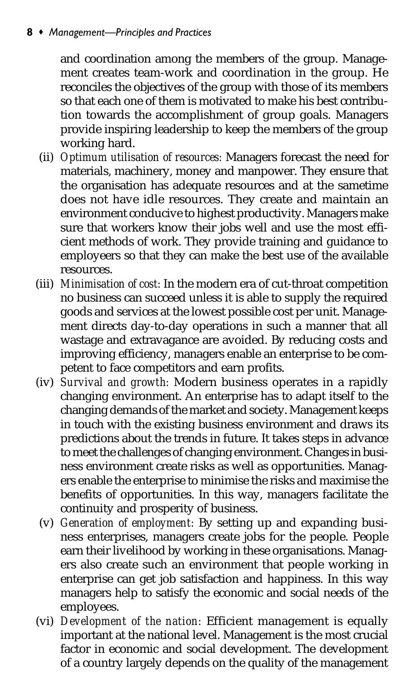#### 8 • Management-Principles and Practices

and coordination among the members of the group. Management creates team-work and coordination in the group. He reconciles the objectives of the group with those of its members so that each one of them is motivated to make his best contribution towards the accomplishment of group goals. Managers provide inspiring leadership to keep the members of the group working hard.

- (ii) *Optimum utilisation of resources:* Managers forecast the need for materials, machinery, money and manpower. They ensure that the organisation has adequate resources and at the sametime does not have idle resources. They create and maintain an environment conducive to highest productivity. Managers make sure that workers know their jobs well and use the most efficient methods of work. They provide training and guidance to employeers so that they can make the best use of the available resources.
- (iii) *Minimisation of cost:* In the modern era of cut-throat competition no business can succeed unless it is able to supply the required goods and services at the lowest possible cost per unit. Management directs day-to-day operations in such a manner that all wastage and extravagance are avoided. By reducing costs and improving efficiency, managers enable an enterprise to be competent to face competitors and earn profits.
- (iv) *Survival and growth:* Modern business operates in a rapidly changing environment. An enterprise has to adapt itself to the changing demands of the market and society. Management keeps in touch with the existing business environment and draws its predictions about the trends in future. It takes steps in advance to meet the challenges of changing environment. Changes in business environment create risks as well as opportunities. Managers enable the enterprise to minimise the risks and maximise the benefits of opportunities. In this way, managers facilitate the continuity and prosperity of business.
- (v) *Generation of employment:* By setting up and expanding business enterprises, managers create jobs for the people. People earn their livelihood by working in these organisations. Managers also create such an environment that people working in enterprise can get job satisfaction and happiness. In this way managers help to satisfy the economic and social needs of the employees.
- (vi) *Development of the nation:* Efficient management is equally important at the national level. Management is the most crucial factor in economic and social development. The development of a country largely depends on the quality of the management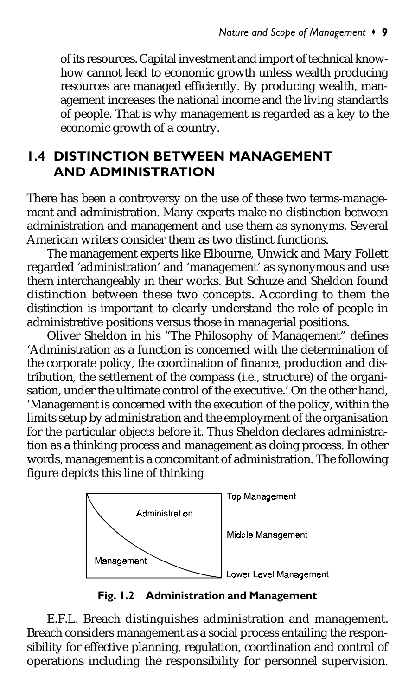of its resources. Capital investment and import of technical knowhow cannot lead to economic growth unless wealth producing resources are managed efficiently. By producing wealth, management increases the national income and the living standards of people. That is why management is regarded as a key to the economic growth of a country.

### 1.4 DISTINCTION BETWEEN MANAGEMENT AND ADMINISTRATION

There has been a controversy on the use of these two terms-management and administration. Many experts make no distinction between administration and management and use them as synonyms. Several American writers consider them as two distinct functions.

The management experts like Elbourne, Unwick and Mary Follett regarded 'administration' and 'management' as synonymous and use them interchangeably in their works. But Schuze and Sheldon found distinction between these two concepts. According to them the distinction is important to clearly understand the role of people in administrative positions versus those in managerial positions.

Oliver Sheldon in his "The Philosophy of Management" defines 'Administration as a function is concerned with the determination of the corporate policy, the coordination of finance, production and distribution, the settlement of the compass (i.e., structure) of the organisation, under the ultimate control of the executive.' On the other hand, 'Management is concerned with the execution of the policy, within the limits setup by administration and the employment of the organisation for the particular objects before it. Thus Sheldon declares administration as a thinking process and management as doing process. In other words, management is a concomitant of administration. The following figure depicts this line of thinking



Fig. 1.2 Administration and Management

E.F.L. Breach distinguishes administration and management. Breach considers management as a social process entailing the responsibility for effective planning, regulation, coordination and control of operations including the responsibility for personnel supervision.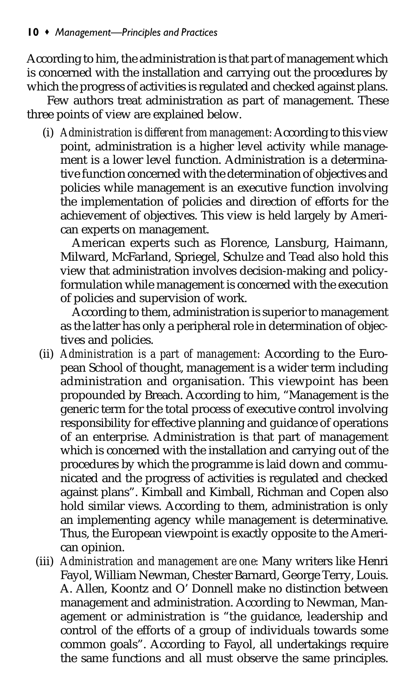According to him, the administration is that part of management which is concerned with the installation and carrying out the procedures by which the progress of activities is regulated and checked against plans.

Few authors treat administration as part of management. These three points of view are explained below.

(i) *Administration is different from management:* According to this view point, administration is a higher level activity while management is a lower level function. Administration is a determinative function concerned with the determination of objectives and policies while management is an executive function involving the implementation of policies and direction of efforts for the achievement of objectives. This view is held largely by American experts on management.

American experts such as Florence, Lansburg, Haimann, Milward, McFarland, Spriegel, Schulze and Tead also hold this view that administration involves decision-making and policyformulation while management is concerned with the execution of policies and supervision of work.

According to them, administration is superior to management as the latter has only a peripheral role in determination of objectives and policies.

- (ii) *Administration is a part of management:* According to the European School of thought, management is a wider term including administration and organisation. This viewpoint has been propounded by Breach. According to him, "Management is the generic term for the total process of executive control involving responsibility for effective planning and guidance of operations of an enterprise. Administration is that part of management which is concerned with the installation and carrying out of the procedures by which the programme is laid down and communicated and the progress of activities is regulated and checked against plans". Kimball and Kimball, Richman and Copen also hold similar views. According to them, administration is only an implementing agency while management is determinative. Thus, the European viewpoint is exactly opposite to the American opinion.
- (iii) *Administration and management are one:* Many writers like Henri Fayol, William Newman, Chester Barnard, George Terry, Louis. A. Allen, Koontz and O' Donnell make no distinction between management and administration. According to Newman, Management or administration is "the guidance, leadership and control of the efforts of a group of individuals towards some common goals". According to Fayol, all undertakings require the same functions and all must observe the same principles.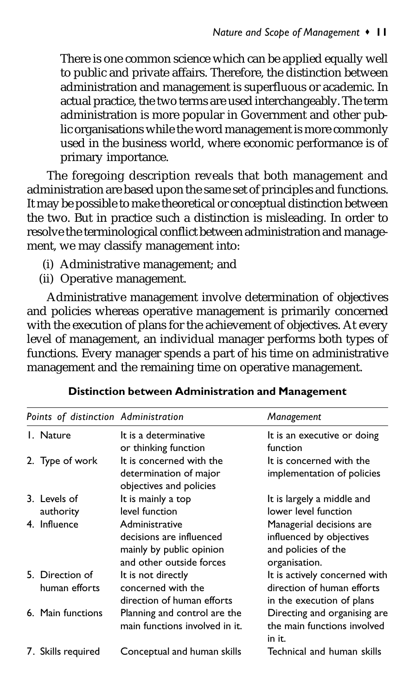There is one common science which can be applied equally well to public and private affairs. Therefore, the distinction between administration and management is superfluous or academic. In actual practice, the two terms are used interchangeably. The term administration is more popular in Government and other public organisations while the word management is more commonly used in the business world, where economic performance is of primary importance.

The foregoing description reveals that both management and administration are based upon the same set of principles and functions. It may be possible to make theoretical or conceptual distinction between the two. But in practice such a distinction is misleading. In order to resolve the terminological conflict between administration and management, we may classify management into:

- (i) Administrative management; and
- (ii) Operative management.

Administrative management involve determination of objectives and policies whereas operative management is primarily concerned with the execution of plans for the achievement of objectives. At every level of management, an individual manager performs both types of functions. Every manager spends a part of his time on administrative management and the remaining time on operative management.

| Points of distinction Administration |                                  |                                                                                                    | Management                                                                                   |
|--------------------------------------|----------------------------------|----------------------------------------------------------------------------------------------------|----------------------------------------------------------------------------------------------|
|                                      | L. Nature                        | It is a determinative<br>or thinking function                                                      | It is an executive or doing<br>function                                                      |
|                                      | 2. Type of work                  | It is concerned with the<br>determination of major<br>objectives and policies                      | It is concerned with the<br>implementation of policies                                       |
|                                      | 3. Levels of<br>authority        | It is mainly a top<br>level function                                                               | It is largely a middle and<br>lower level function                                           |
|                                      | 4. Influence                     | Administrative<br>decisions are influenced<br>mainly by public opinion<br>and other outside forces | Managerial decisions are<br>influenced by objectives<br>and policies of the<br>organisation. |
|                                      | 5. Direction of<br>human efforts | It is not directly<br>concerned with the<br>direction of human efforts                             | It is actively concerned with<br>direction of human efforts<br>in the execution of plans     |
|                                      | 6. Main functions                | Planning and control are the<br>main functions involved in it.                                     | Directing and organising are<br>the main functions involved<br>in it.                        |
|                                      | 7. Skills reguired               | Conceptual and human skills                                                                        | Technical and human skills                                                                   |

Distinction between Administration and Management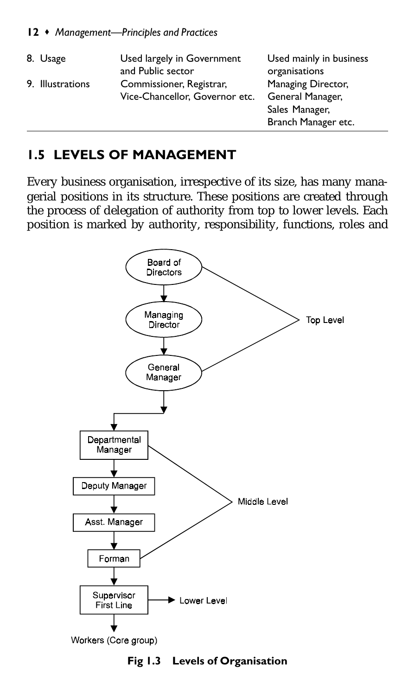| 8. Usage         | Used largely in Government<br>and Public sector            | Used mainly in business<br>organisations                                        |
|------------------|------------------------------------------------------------|---------------------------------------------------------------------------------|
| 9. Illustrations | Commissioner, Registrar,<br>Vice-Chancellor, Governor etc. | Managing Director,<br>General Manager,<br>Sales Manager,<br>Branch Manager etc. |

### 1.5 LEVELS OF MANAGEMENT

Every business organisation, irrespective of its size, has many managerial positions in its structure. These positions are created through the process of delegation of authority from top to lower levels. Each position is marked by authority, responsibility, functions, roles and



Fig 1.3 Levels of Organisation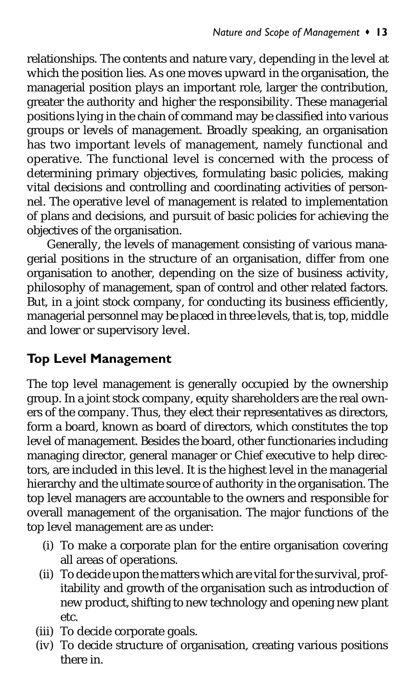relationships. The contents and nature vary, depending in the level at which the position lies. As one moves upward in the organisation, the managerial position plays an important role, larger the contribution, greater the authority and higher the responsibility. These managerial positions lying in the chain of command may be classified into various groups or levels of management. Broadly speaking, an organisation has two important levels of management, namely functional and operative. The functional level is concerned with the process of determining primary objectives, formulating basic policies, making vital decisions and controlling and coordinating activities of personnel. The operative level of management is related to implementation of plans and decisions, and pursuit of basic policies for achieving the objectives of the organisation.

Generally, the levels of management consisting of various managerial positions in the structure of an organisation, differ from one organisation to another, depending on the size of business activity, philosophy of management, span of control and other related factors. But, in a joint stock company, for conducting its business efficiently, managerial personnel may be placed in three levels, that is, top, middle and lower or supervisory level.

### Top Level Management

The top level management is generally occupied by the ownership group. In a joint stock company, equity shareholders are the real owners of the company. Thus, they elect their representatives as directors, form a board, known as board of directors, which constitutes the top level of management. Besides the board, other functionaries including managing director, general manager or Chief executive to help directors, are included in this level. It is the highest level in the managerial hierarchy and the ultimate source of authority in the organisation. The top level managers are accountable to the owners and responsible for overall management of the organisation. The major functions of the top level management are as under:

- (i) To make a corporate plan for the entire organisation covering all areas of operations.
- (ii) To decide upon the matters which are vital for the survival, profitability and growth of the organisation such as introduction of new product, shifting to new technology and opening new plant etc.
- (iii) To decide corporate goals.
- (iv) To decide structure of organisation, creating various positions there in.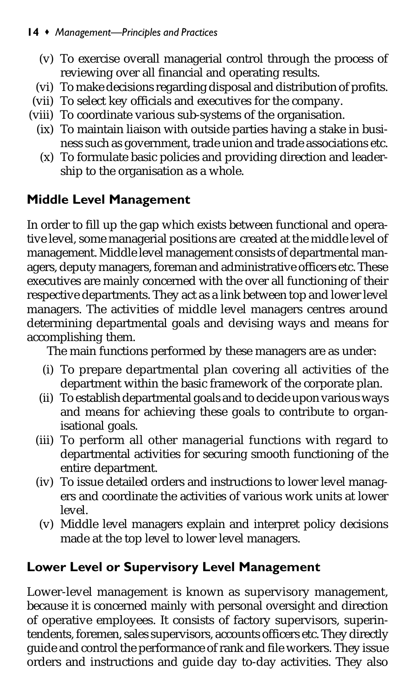- (v) To exercise overall managerial control through the process of reviewing over all financial and operating results.
- (vi) To make decisions regarding disposal and distribution of profits.
- (vii) To select key officials and executives for the company.
- (viii) To coordinate various sub-systems of the organisation.
	- (ix) To maintain liaison with outside parties having a stake in business such as government, trade union and trade associations etc.
	- (x) To formulate basic policies and providing direction and leadership to the organisation as a whole.

# Middle Level Management

In order to fill up the gap which exists between functional and operative level, some managerial positions are created at the middle level of management. Middle level management consists of departmental managers, deputy managers, foreman and administrative officers etc. These executives are mainly concerned with the over all functioning of their respective departments. They act as a link between top and lower level managers. The activities of middle level managers centres around determining departmental goals and devising ways and means for accomplishing them.

The main functions performed by these managers are as under:

- (i) To prepare departmental plan covering all activities of the department within the basic framework of the corporate plan.
- (ii) To establish departmental goals and to decide upon various ways and means for achieving these goals to contribute to organisational goals.
- (iii) To perform all other managerial functions with regard to departmental activities for securing smooth functioning of the entire department.
- (iv) To issue detailed orders and instructions to lower level managers and coordinate the activities of various work units at lower level.
- (v) Middle level managers explain and interpret policy decisions made at the top level to lower level managers.

## Lower Level or Supervisory Level Management

Lower-level management is known as supervisory management, because it is concerned mainly with personal oversight and direction of operative employees. It consists of factory supervisors, superintendents, foremen, sales supervisors, accounts officers etc. They directly guide and control the performance of rank and file workers. They issue orders and instructions and guide day to-day activities. They also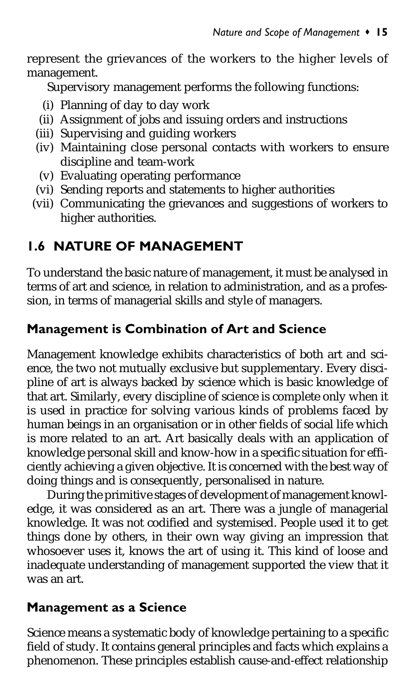represent the grievances of the workers to the higher levels of management.

Supervisory management performs the following functions:

- (i) Planning of day to day work
- (ii) Assignment of jobs and issuing orders and instructions
- (iii) Supervising and guiding workers
- (iv) Maintaining close personal contacts with workers to ensure discipline and team-work
- (v) Evaluating operating performance
- (vi) Sending reports and statements to higher authorities
- (vii) Communicating the grievances and suggestions of workers to higher authorities.

# 1.6 NATURE OF MANAGEMENT

To understand the basic nature of management, it must be analysed in terms of art and science, in relation to administration, and as a profession, in terms of managerial skills and style of managers.

### Management is Combination of Art and Science

Management knowledge exhibits characteristics of both art and science, the two not mutually exclusive but supplementary. Every discipline of art is always backed by science which is basic knowledge of that art. Similarly, every discipline of science is complete only when it is used in practice for solving various kinds of problems faced by human beings in an organisation or in other fields of social life which is more related to an art. Art basically deals with an application of knowledge personal skill and know-how in a specific situation for efficiently achieving a given objective. It is concerned with the best way of doing things and is consequently, personalised in nature.

During the primitive stages of development of management knowledge, it was considered as an art. There was a jungle of managerial knowledge. It was not codified and systemised. People used it to get things done by others, in their own way giving an impression that whosoever uses it, knows the art of using it. This kind of loose and inadequate understanding of management supported the view that it was an art.

### Management as a Science

Science means a systematic body of knowledge pertaining to a specific field of study. It contains general principles and facts which explains a phenomenon. These principles establish cause-and-effect relationship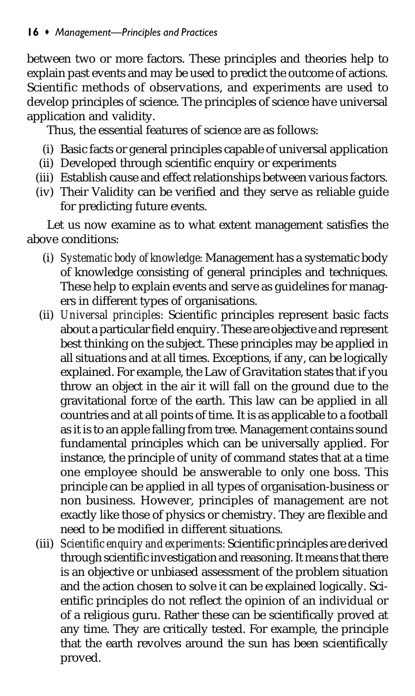between two or more factors. These principles and theories help to explain past events and may be used to predict the outcome of actions. Scientific methods of observations, and experiments are used to develop principles of science. The principles of science have universal application and validity.

Thus, the essential features of science are as follows:

- (i) Basic facts or general principles capable of universal application
- (ii) Developed through scientific enquiry or experiments
- (iii) Establish cause and effect relationships between various factors.
- (iv) Their Validity can be verified and they serve as reliable guide for predicting future events.

Let us now examine as to what extent management satisfies the above conditions:

- (i) *Systematic body of knowledge:* Management has a systematic body of knowledge consisting of general principles and techniques. These help to explain events and serve as guidelines for managers in different types of organisations.
- (ii) *Universal principles:* Scientific principles represent basic facts about a particular field enquiry. These are objective and represent best thinking on the subject. These principles may be applied in all situations and at all times. Exceptions, if any, can be logically explained. For example, the Law of Gravitation states that if you throw an object in the air it will fall on the ground due to the gravitational force of the earth. This law can be applied in all countries and at all points of time. It is as applicable to a football as it is to an apple falling from tree. Management contains sound fundamental principles which can be universally applied. For instance, the principle of unity of command states that at a time one employee should be answerable to only one boss. This principle can be applied in all types of organisation-business or non business. However, principles of management are not exactly like those of physics or chemistry. They are flexible and need to be modified in different situations.
- (iii) *Scientific enquiry and experiments:* Scientific principles are derived through scientific investigation and reasoning. It means that there is an objective or unbiased assessment of the problem situation and the action chosen to solve it can be explained logically. Scientific principles do not reflect the opinion of an individual or of a religious guru. Rather these can be scientifically proved at any time. They are critically tested. For example, the principle that the earth revolves around the sun has been scientifically proved.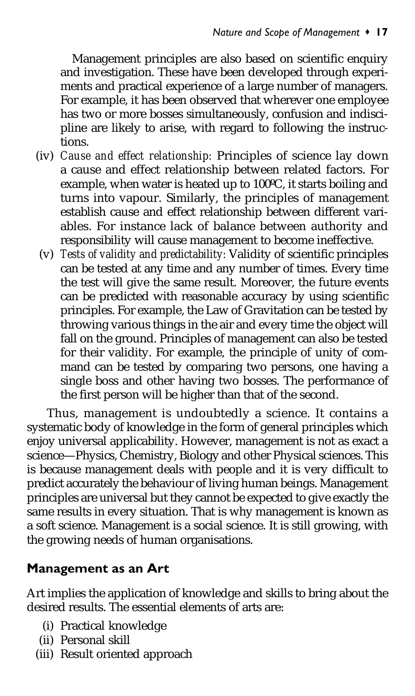Management principles are also based on scientific enquiry and investigation. These have been developed through experiments and practical experience of a large number of managers. For example, it has been observed that wherever one employee has two or more bosses simultaneously, confusion and indiscipline are likely to arise, with regard to following the instructions.

- (iv) *Cause and effect relationship:* Principles of science lay down a cause and effect relationship between related factors. For example, when water is heated up to 100ºC, it starts boiling and turns into vapour. Similarly, the principles of management establish cause and effect relationship between different variables. For instance lack of balance between authority and responsibility will cause management to become ineffective.
- (v) *Tests of validity and predictability:* Validity of scientific principles can be tested at any time and any number of times. Every time the test will give the same result. Moreover, the future events can be predicted with reasonable accuracy by using scientific principles. For example, the Law of Gravitation can be tested by throwing various things in the air and every time the object will fall on the ground. Principles of management can also be tested for their validity. For example, the principle of unity of command can be tested by comparing two persons, one having a single boss and other having two bosses. The performance of the first person will be higher than that of the second.

Thus, management is undoubtedly a science. It contains a systematic body of knowledge in the form of general principles which enjoy universal applicability. However, management is not as exact a science—Physics, Chemistry, Biology and other Physical sciences. This is because management deals with people and it is very difficult to predict accurately the behaviour of living human beings. Management principles are universal but they cannot be expected to give exactly the same results in every situation. That is why management is known as a soft science. Management is a social science. It is still growing, with the growing needs of human organisations.

### Management as an Art

Art implies the application of knowledge and skills to bring about the desired results. The essential elements of arts are:

- (i) Practical knowledge
- (ii) Personal skill
- (iii) Result oriented approach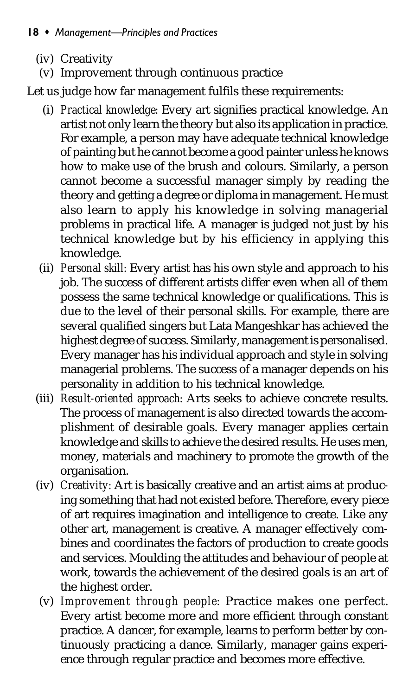- (iv) Creativity
	- (v) Improvement through continuous practice

Let us judge how far management fulfils these requirements:

- (i) *Practical knowledge:* Every art signifies practical knowledge. An artist not only learn the theory but also its application in practice. For example, a person may have adequate technical knowledge of painting but he cannot become a good painter unless he knows how to make use of the brush and colours. Similarly, a person cannot become a successful manager simply by reading the theory and getting a degree or diploma in management. He must also learn to apply his knowledge in solving managerial problems in practical life. A manager is judged not just by his technical knowledge but by his efficiency in applying this knowledge.
- (ii) *Personal skill:* Every artist has his own style and approach to his iob. The success of different artists differ even when all of them possess the same technical knowledge or qualifications. This is due to the level of their personal skills. For example, there are several qualified singers but Lata Mangeshkar has achieved the highest degree of success. Similarly, management is personalised. Every manager has his individual approach and style in solving managerial problems. The success of a manager depends on his personality in addition to his technical knowledge.
- (iii) *Result-oriented approach:* Arts seeks to achieve concrete results. The process of management is also directed towards the accomplishment of desirable goals. Every manager applies certain knowledge and skills to achieve the desired results. He uses men, money, materials and machinery to promote the growth of the organisation.
- (iv) *Creativity:* Art is basically creative and an artist aims at producing something that had not existed before. Therefore, every piece of art requires imagination and intelligence to create. Like any other art, management is creative. A manager effectively combines and coordinates the factors of production to create goods and services. Moulding the attitudes and behaviour of people at work, towards the achievement of the desired goals is an art of the highest order.
- (v) *Improvement through people:* Practice makes one perfect. Every artist become more and more efficient through constant practice. A dancer, for example, learns to perform better by continuously practicing a dance. Similarly, manager gains experience through regular practice and becomes more effective.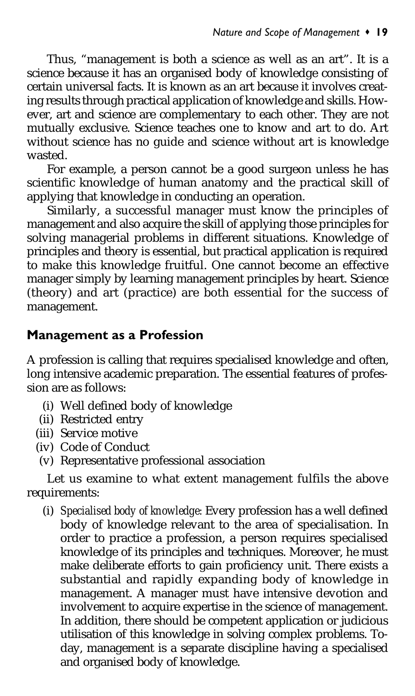Thus, "management is both a science as well as an art". It is a science because it has an organised body of knowledge consisting of certain universal facts. It is known as an art because it involves creating results through practical application of knowledge and skills. However, art and science are complementary to each other. They are not mutually exclusive. Science teaches one to know and art to do. Art without science has no guide and science without art is knowledge wasted.

For example, a person cannot be a good surgeon unless he has scientific knowledge of human anatomy and the practical skill of applying that knowledge in conducting an operation.

Similarly, a successful manager must know the principles of management and also acquire the skill of applying those principles for solving managerial problems in different situations. Knowledge of principles and theory is essential, but practical application is required to make this knowledge fruitful. One cannot become an effective manager simply by learning management principles by heart. Science (theory) and art (practice) are both essential for the success of management.

#### Management as a Profession

A profession is calling that requires specialised knowledge and often, long intensive academic preparation. The essential features of profession are as follows:

- (i) Well defined body of knowledge
- (ii) Restricted entry
- (iii) Service motive
- (iv) Code of Conduct
- (v) Representative professional association

Let us examine to what extent management fulfils the above requirements:

(i) *Specialised body of knowledge:* Every profession has a well defined body of knowledge relevant to the area of specialisation. In order to practice a profession, a person requires specialised knowledge of its principles and techniques. Moreover, he must make deliberate efforts to gain proficiency unit. There exists a substantial and rapidly expanding body of knowledge in management. A manager must have intensive devotion and involvement to acquire expertise in the science of management. In addition, there should be competent application or judicious utilisation of this knowledge in solving complex problems. Today, management is a separate discipline having a specialised and organised body of knowledge.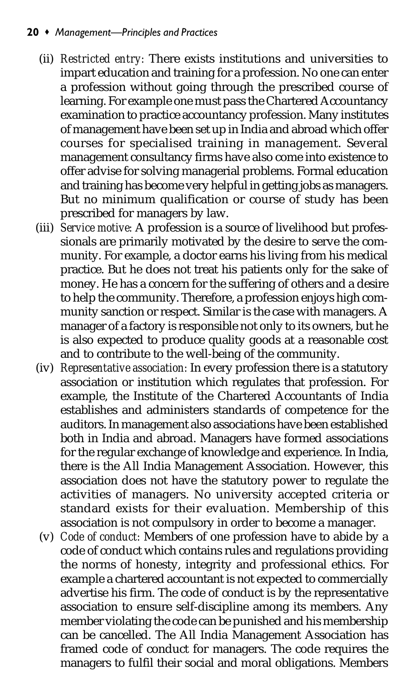#### 20 • Management-Principles and Practices

- (ii) *Restricted entry:* There exists institutions and universities to impart education and training for a profession. No one can enter a profession without going through the prescribed course of learning. For example one must pass the Chartered Accountancy examination to practice accountancy profession. Many institutes of management have been set up in India and abroad which offer courses for specialised training in management. Several management consultancy firms have also come into existence to offer advise for solving managerial problems. Formal education and training has become very helpful in getting jobs as managers. But no minimum qualification or course of study has been prescribed for managers by law.
- (iii) *Service motive:* A profession is a source of livelihood but professionals are primarily motivated by the desire to serve the community. For example, a doctor earns his living from his medical practice. But he does not treat his patients only for the sake of money. He has a concern for the suffering of others and a desire to help the community. Therefore, a profession enjoys high community sanction or respect. Similar is the case with managers. A manager of a factory is responsible not only to its owners, but he is also expected to produce quality goods at a reasonable cost and to contribute to the well-being of the community.
- (iv) *Representative association:* In every profession there is a statutory association or institution which regulates that profession. For example, the Institute of the Chartered Accountants of India establishes and administers standards of competence for the auditors. In management also associations have been established both in India and abroad. Managers have formed associations for the regular exchange of knowledge and experience. In India, there is the All India Management Association. However, this association does not have the statutory power to regulate the activities of managers. No university accepted criteria or standard exists for their evaluation. Membership of this association is not compulsory in order to become a manager.
- (v) *Code of conduct:* Members of one profession have to abide by a code of conduct which contains rules and regulations providing the norms of honesty, integrity and professional ethics. For example a chartered accountant is not expected to commercially advertise his firm. The code of conduct is by the representative association to ensure self-discipline among its members. Any member violating the code can be punished and his membership can be cancelled. The All India Management Association has framed code of conduct for managers. The code requires the managers to fulfil their social and moral obligations. Members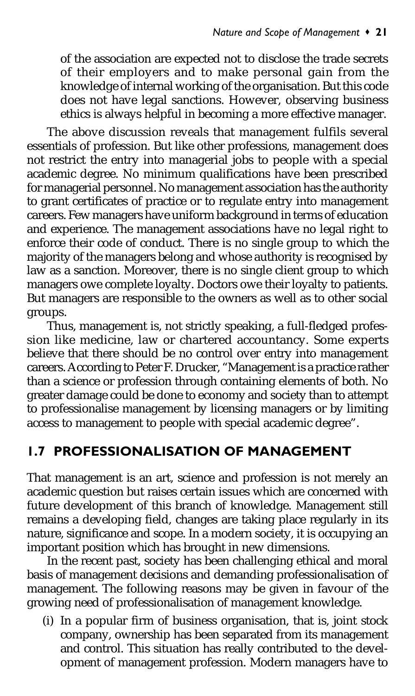of the association are expected not to disclose the trade secrets of their employers and to make personal gain from the knowledge of internal working of the organisation. But this code does not have legal sanctions. However, observing business ethics is always helpful in becoming a more effective manager.

The above discussion reveals that management fulfils several essentials of profession. But like other professions, management does not restrict the entry into managerial jobs to people with a special academic degree. No minimum qualifications have been prescribed for managerial personnel. No management association has the authority to grant certificates of practice or to regulate entry into management careers. Few managers have uniform background in terms of education and experience. The management associations have no legal right to enforce their code of conduct. There is no single group to which the majority of the managers belong and whose authority is recognised by law as a sanction. Moreover, there is no single client group to which managers owe complete loyalty. Doctors owe their loyalty to patients. But managers are responsible to the owners as well as to other social groups.

Thus, management is, not strictly speaking, a full-fledged profession like medicine, law or chartered accountancy. Some experts believe that there should be no control over entry into management careers. According to Peter F. Drucker, "Management is a practice rather than a science or profession through containing elements of both. No greater damage could be done to economy and society than to attempt to professionalise management by licensing managers or by limiting access to management to people with special academic degree".

### 1.7 PROFESSIONALISATION OF MANAGEMENT

That management is an art, science and profession is not merely an academic question but raises certain issues which are concerned with future development of this branch of knowledge. Management still remains a developing field, changes are taking place regularly in its nature, significance and scope. In a modern society, it is occupying an important position which has brought in new dimensions.

In the recent past, society has been challenging ethical and moral basis of management decisions and demanding professionalisation of management. The following reasons may be given in favour of the growing need of professionalisation of management knowledge.

(i) In a popular firm of business organisation, that is, joint stock company, ownership has been separated from its management and control. This situation has really contributed to the development of management profession. Modern managers have to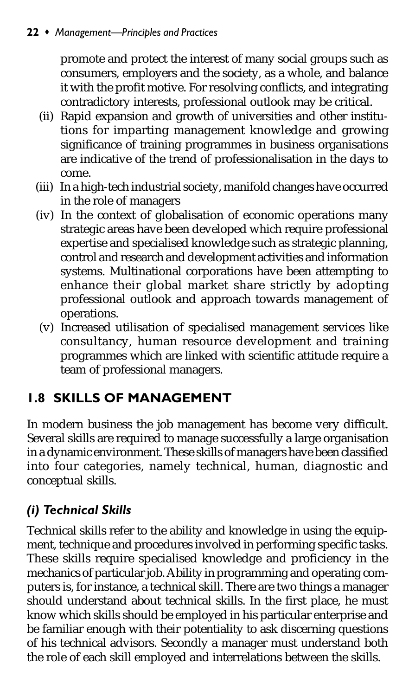#### 22 • Management-Principles and Practices

promote and protect the interest of many social groups such as consumers, employers and the society, as a whole, and balance it with the profit motive. For resolving conflicts, and integrating contradictory interests, professional outlook may be critical.

- (ii) Rapid expansion and growth of universities and other institutions for imparting management knowledge and growing significance of training programmes in business organisations are indicative of the trend of professionalisation in the days to come.
- (iii) In a high-tech industrial society, manifold changes have occurred in the role of managers
- (iv) In the context of globalisation of economic operations many strategic areas have been developed which require professional expertise and specialised knowledge such as strategic planning, control and research and development activities and information systems. Multinational corporations have been attempting to enhance their global market share strictly by adopting professional outlook and approach towards management of operations.
- (v) Increased utilisation of specialised management services like consultancy, human resource development and training programmes which are linked with scientific attitude require a team of professional managers.

## 1.8 SKILLS OF MANAGEMENT

In modern business the job management has become very difficult. Several skills are required to manage successfully a large organisation in a dynamic environment. These skills of managers have been classified into four categories, namely technical, human, diagnostic and conceptual skills.

# (i) Technical Skills

Technical skills refer to the ability and knowledge in using the equipment, technique and procedures involved in performing specific tasks. These skills require specialised knowledge and proficiency in the mechanics of particular job. Ability in programming and operating computers is, for instance, a technical skill. There are two things a manager should understand about technical skills. In the first place, he must know which skills should be employed in his particular enterprise and be familiar enough with their potentiality to ask discerning questions of his technical advisors. Secondly a manager must understand both the role of each skill employed and interrelations between the skills.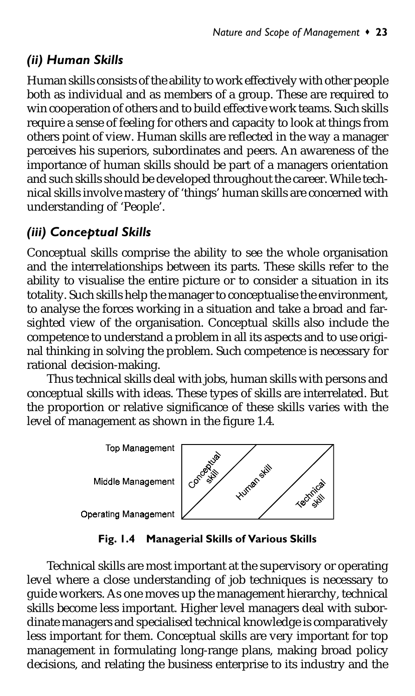# (ii) Human Skills

Human skills consists of the ability to work effectively with other people both as individual and as members of a group. These are required to win cooperation of others and to build effective work teams. Such skills require a sense of feeling for others and capacity to look at things from others point of view. Human skills are reflected in the way a manager perceives his superiors, subordinates and peers. An awareness of the importance of human skills should be part of a managers orientation and such skills should be developed throughout the career. While technical skills involve mastery of 'things' human skills are concerned with understanding of 'People'.

### (iii) Conceptual Skills

Conceptual skills comprise the ability to see the whole organisation and the interrelationships between its parts. These skills refer to the ability to visualise the entire picture or to consider a situation in its totality. Such skills help the manager to conceptualise the environment, to analyse the forces working in a situation and take a broad and farsighted view of the organisation. Conceptual skills also include the competence to understand a problem in all its aspects and to use original thinking in solving the problem. Such competence is necessary for rational decision-making.

Thus technical skills deal with jobs, human skills with persons and conceptual skills with ideas. These types of skills are interrelated. But the proportion or relative significance of these skills varies with the level of management as shown in the figure 1.4.

**Top Management** 

Middle Management



**Operating Management** 

Fig. 1.4 Managerial Skills of Various Skills

Technical skills are most important at the supervisory or operating level where a close understanding of job techniques is necessary to guide workers. As one moves up the management hierarchy, technical skills become less important. Higher level managers deal with subordinate managers and specialised technical knowledge is comparatively less important for them. Conceptual skills are very important for top management in formulating long-range plans, making broad policy decisions, and relating the business enterprise to its industry and the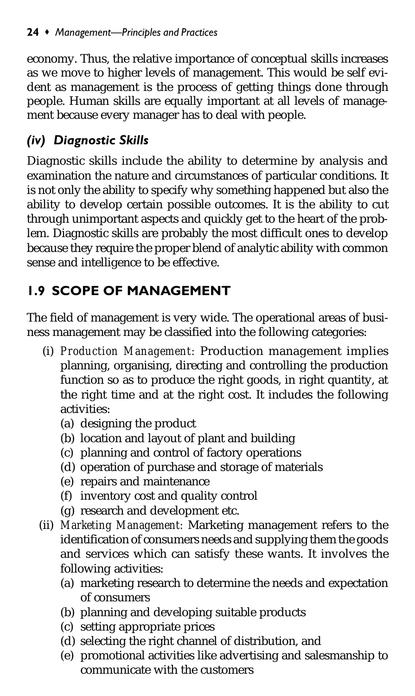economy. Thus, the relative importance of conceptual skills increases as we move to higher levels of management. This would be self evident as management is the process of getting things done through people. Human skills are equally important at all levels of management because every manager has to deal with people.

# (iv) Diagnostic Skills

Diagnostic skills include the ability to determine by analysis and examination the nature and circumstances of particular conditions. It is not only the ability to specify why something happened but also the ability to develop certain possible outcomes. It is the ability to cut through unimportant aspects and quickly get to the heart of the problem. Diagnostic skills are probably the most difficult ones to develop because they require the proper blend of analytic ability with common sense and intelligence to be effective.

# 1.9 SCOPE OF MANAGEMENT

The field of management is very wide. The operational areas of business management may be classified into the following categories:

- (i) *Production Management:* Production management implies planning, organising, directing and controlling the production function so as to produce the right goods, in right quantity, at the right time and at the right cost. It includes the following activities:
	- (a) designing the product
	- (b) location and layout of plant and building
	- (c) planning and control of factory operations
	- (d) operation of purchase and storage of materials
	- (e) repairs and maintenance
	- (f) inventory cost and quality control
	- (g) research and development etc.
- (ii) *Marketing Management:* Marketing management refers to the identification of consumers needs and supplying them the goods and services which can satisfy these wants. It involves the following activities:
	- (a) marketing research to determine the needs and expectation of consumers
	- (b) planning and developing suitable products
	- (c) setting appropriate prices
	- (d) selecting the right channel of distribution, and
	- (e) promotional activities like advertising and salesmanship to communicate with the customers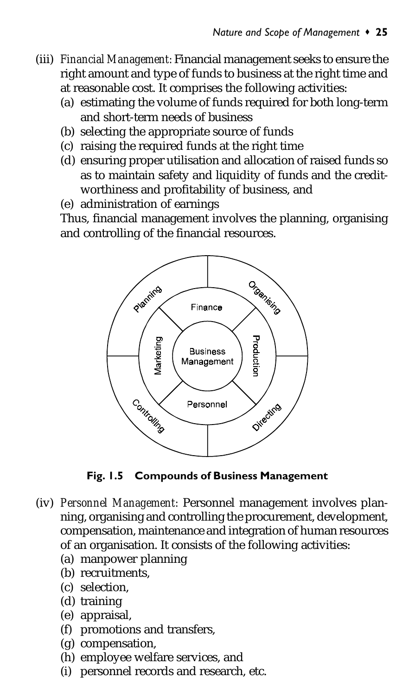- (iii) *Financial Management:* Financial management seeks to ensure the right amount and type of funds to business at the right time and at reasonable cost. It comprises the following activities:
	- (a) estimating the volume of funds required for both long-term and short-term needs of business
	- (b) selecting the appropriate source of funds
	- (c) raising the required funds at the right time
	- (d) ensuring proper utilisation and allocation of raised funds so as to maintain safety and liquidity of funds and the creditworthiness and profitability of business, and
	- (e) administration of earnings

Thus, financial management involves the planning, organising and controlling of the financial resources.



Fig. 1.5 Compounds of Business Management

- (iv) *Personnel Management:* Personnel management involves planning, organising and controlling the procurement, development, compensation, maintenance and integration of human resources of an organisation. It consists of the following activities:
	- (a) manpower planning
	- (b) recruitments,
	- (c) selection,
	- (d) training
	- (e) appraisal,
	- (f) promotions and transfers,
	- (g) compensation,
	- (h) employee welfare services, and
	- (i) personnel records and research, etc.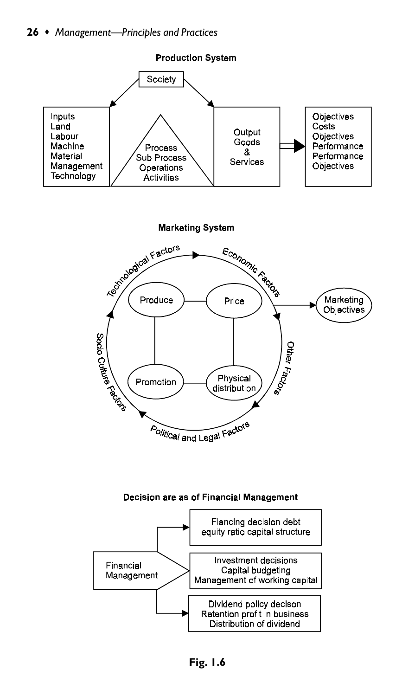

**Marketing System**